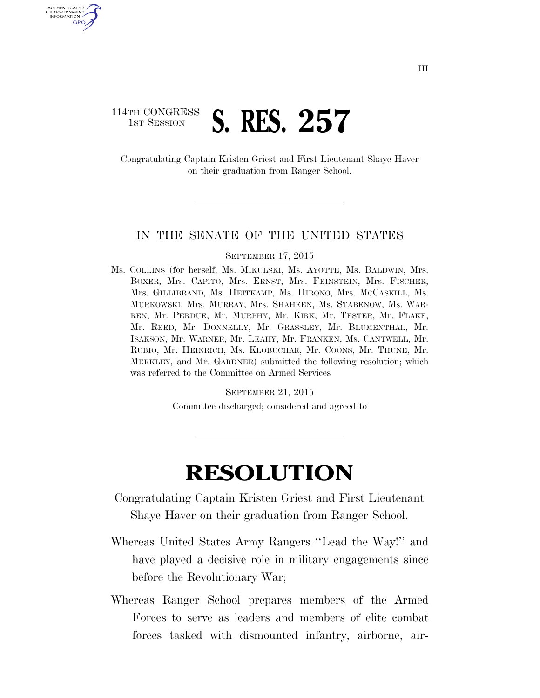## 114TH CONGRESS **1st Session S. RES. 257**

U.S. GOVERNMENT GPO

> Congratulating Captain Kristen Griest and First Lieutenant Shaye Haver on their graduation from Ranger School.

## IN THE SENATE OF THE UNITED STATES

## SEPTEMBER 17, 2015

Ms. COLLINS (for herself, Ms. MIKULSKI, Ms. AYOTTE, Ms. BALDWIN, Mrs. BOXER, Mrs. CAPITO, Mrs. ERNST, Mrs. FEINSTEIN, Mrs. FISCHER, Mrs. GILLIBRAND, Ms. HEITKAMP, Ms. HIRONO, Mrs. MCCASKILL, Ms. MURKOWSKI, Mrs. MURRAY, Mrs. SHAHEEN, Ms. STABENOW, Ms. WAR-REN, Mr. PERDUE, Mr. MURPHY, Mr. KIRK, Mr. TESTER, Mr. FLAKE, Mr. REED, Mr. DONNELLY, Mr. GRASSLEY, Mr. BLUMENTHAL, Mr. ISAKSON, Mr. WARNER, Mr. LEAHY, Mr. FRANKEN, Ms. CANTWELL, Mr. RUBIO, Mr. HEINRICH, Ms. KLOBUCHAR, Mr. COONS, Mr. THUNE, Mr. MERKLEY, and Mr. GARDNER) submitted the following resolution; which was referred to the Committee on Armed Services

SEPTEMBER 21, 2015

Committee discharged; considered and agreed to

## **RESOLUTION**

- Congratulating Captain Kristen Griest and First Lieutenant Shaye Haver on their graduation from Ranger School.
- Whereas United States Army Rangers ''Lead the Way!'' and have played a decisive role in military engagements since before the Revolutionary War;
- Whereas Ranger School prepares members of the Armed Forces to serve as leaders and members of elite combat forces tasked with dismounted infantry, airborne, air-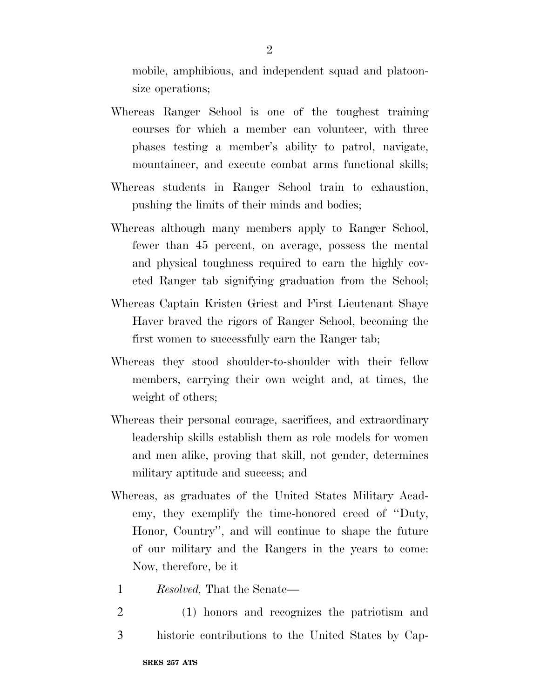mobile, amphibious, and independent squad and platoonsize operations;

- Whereas Ranger School is one of the toughest training courses for which a member can volunteer, with three phases testing a member's ability to patrol, navigate, mountaineer, and execute combat arms functional skills;
- Whereas students in Ranger School train to exhaustion, pushing the limits of their minds and bodies;
- Whereas although many members apply to Ranger School, fewer than 45 percent, on average, possess the mental and physical toughness required to earn the highly coveted Ranger tab signifying graduation from the School;
- Whereas Captain Kristen Griest and First Lieutenant Shaye Haver braved the rigors of Ranger School, becoming the first women to successfully earn the Ranger tab;
- Whereas they stood shoulder-to-shoulder with their fellow members, carrying their own weight and, at times, the weight of others;
- Whereas their personal courage, sacrifices, and extraordinary leadership skills establish them as role models for women and men alike, proving that skill, not gender, determines military aptitude and success; and
- Whereas, as graduates of the United States Military Academy, they exemplify the time-honored creed of ''Duty, Honor, Country'', and will continue to shape the future of our military and the Rangers in the years to come: Now, therefore, be it
	- 1 *Resolved,* That the Senate—
	- 2 (1) honors and recognizes the patriotism and 3 historic contributions to the United States by Cap-